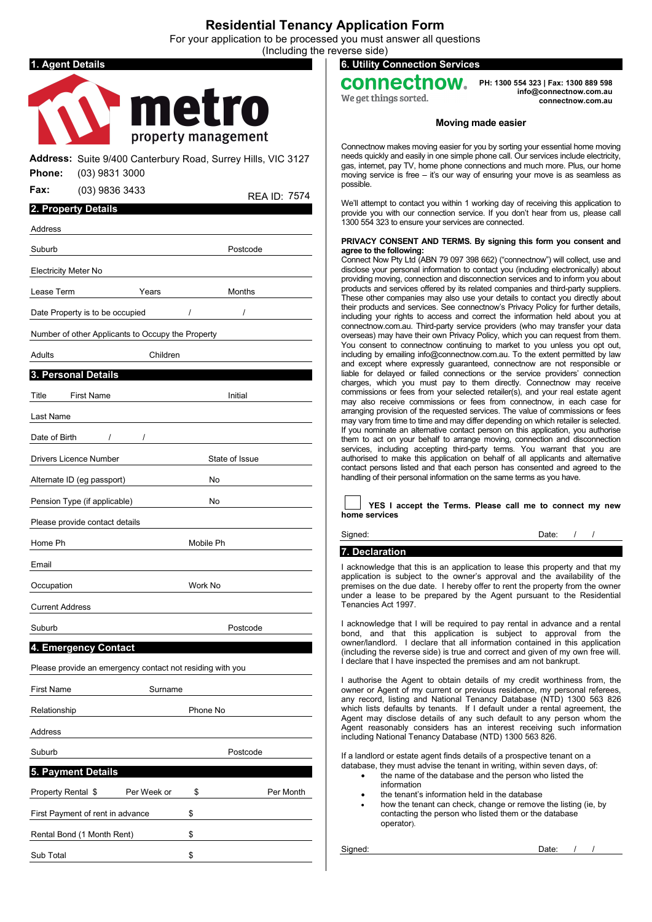## **Residential Tenancy Application Form**

For your application to be processed you must answer all questions e reverse side)

|                               |                                                                                  |                     |           |                | (Including tr |
|-------------------------------|----------------------------------------------------------------------------------|---------------------|-----------|----------------|---------------|
| . Agent Details               |                                                                                  |                     |           |                |               |
|                               |                                                                                  |                     |           |                |               |
|                               |                                                                                  |                     | metro     |                |               |
|                               |                                                                                  | property management |           |                |               |
|                               |                                                                                  |                     |           |                |               |
| Phone:                        | Address: Suite 9/400 Canterbury Road, Surrey Hills, VIC 3127<br>$(03)$ 9831 3000 |                     |           |                |               |
| <b>Fax:</b>                   | (03) 9836 3433                                                                   |                     |           |                | REA ID: 7574  |
| 2. Property Details           |                                                                                  |                     |           |                |               |
| Address                       |                                                                                  |                     |           |                |               |
| Suburb                        |                                                                                  |                     |           | Postcode       |               |
| <b>Electricity Meter No</b>   |                                                                                  |                     |           |                |               |
| Lease Term                    |                                                                                  | Years               |           | Months         |               |
|                               | Date Property is to be occupied                                                  |                     | $\prime$  |                |               |
|                               | Number of other Applicants to Occupy the Property                                |                     |           |                |               |
| Adults                        |                                                                                  | Children            |           |                |               |
| 3. Personal Details           |                                                                                  |                     |           |                |               |
| Title                         | <b>First Name</b>                                                                |                     |           | Initial        |               |
| Last Name                     |                                                                                  |                     |           |                |               |
|                               |                                                                                  |                     |           |                |               |
| Date of Birth                 | $\prime$                                                                         | $\overline{1}$      |           |                |               |
| <b>Drivers Licence Number</b> |                                                                                  |                     |           | State of Issue |               |
|                               | Alternate ID (eg passport)                                                       |                     | No        |                |               |
|                               | Pension Type (if applicable)                                                     |                     | No        |                |               |
|                               | Please provide contact details                                                   |                     |           |                |               |
| Home Ph                       |                                                                                  |                     | Mobile Ph |                |               |
| Email                         |                                                                                  |                     |           |                |               |
| Occupation                    |                                                                                  |                     | Work No   |                |               |
| <b>Current Address</b>        |                                                                                  |                     |           |                |               |
| Suburb                        |                                                                                  |                     |           | Postcode       |               |
|                               | 4. Emergency Contact                                                             |                     |           |                |               |
|                               | Please provide an emergency contact not residing with you                        |                     |           |                |               |
| First Name                    |                                                                                  | Surname             |           |                |               |
| Relationship                  |                                                                                  |                     | Phone No  |                |               |
| Address                       |                                                                                  |                     |           |                |               |
| Suburb                        |                                                                                  |                     |           | Postcode       |               |
| <b>5. Payment Details</b>     |                                                                                  |                     |           |                |               |
| Property Rental \$            |                                                                                  | Per Week or         | \$        |                | Per Month     |
|                               | First Payment of rent in advance                                                 |                     | \$        |                |               |
|                               | Rental Bond (1 Month Rent)                                                       |                     | \$        |                |               |
|                               |                                                                                  |                     |           |                |               |

Sub Total \$

**6. Utility Connection Services**

# onnectnow.

We get things sorted.

**PH: 1300 554 323 | Fax: 1300 889 598 [info@connectnow.com.au](mailto:info@connectnow.com.au) connectnow.com.au**

### **Moving made easier**

Connectnow makes moving easier for you by sorting your essential home moving needs quickly and easily in one simple phone call. Our services include electricity, gas, internet, pay TV, home phone connections and much more. Plus, our home moving service is free – it's our way of ensuring your move is as seamless as possible.

We'll attempt to contact you within 1 working day of receiving this application to provide you with our connection service. If you don't hear from us, please call 1300 554 323 to ensure your services are connected.

#### **PRIVACY CONSENT AND TERMS. By signing this form you consent and agree to the following:**

Connect Now Pty Ltd (ABN 79 097 398 662) ("connectnow") will collect, use and disclose your personal information to contact you (including electronically) about providing moving, connection and disconnection services and to inform you about products and services offered by its related companies and third-party suppliers. These other companies may also use your details to contact you directly about their products and services. See connectnow's Privacy Policy for further details, including your rights to access and correct the information held about you at connectnow.com.au. Third-party service providers (who may transfer your data overseas) may have their own Privacy Policy, which you can request from them. You consent to connectnow continuing to market to you unless you opt out, including by emailing info@connectnow.com.au. To the extent permitted by law and except where expressly guaranteed, connectnow are not responsible or liable for delayed or failed connections or the service providers' connection charges, which you must pay to them directly. Connectnow may receive commissions or fees from your selected retailer(s), and your real estate agent may also receive commissions or fees from connectnow, in each case for arranging provision of the requested services. The value of commissions or fees may vary from time to time and may differ depending on which retailer is selected. If you nominate an alternative contact person on this application, you authorise them to act on your behalf to arrange moving, connection and disconnection services, including accepting third-party terms. You warrant that you are authorised to make this application on behalf of all applicants and alternative contact persons listed and that each person has consented and agreed to the handling of their personal information on the same terms as you have.

|               | YES I accept the Terms. Please call me to connect my new |  |  |  |  |  |
|---------------|----------------------------------------------------------|--|--|--|--|--|
| home services |                                                          |  |  |  |  |  |

## **7. Declaration**

Signed:

I acknowledge that this is an application to lease this property and that my application is subject to the owner's approval and the availability of the premises on the due date. I hereby offer to rent the property from the owner under a lease to be prepared by the Agent pursuant to the Residential Tenancies Act 1997.

I acknowledge that I will be required to pay rental in advance and a rental bond, and that this application is subject to approval from the owner/landlord. I declare that all information contained in this application (including the reverse side) is true and correct and given of my own free will. I declare that I have inspected the premises and am not bankrupt.

I authorise the Agent to obtain details of my credit worthiness from, the owner or Agent of my current or previous residence, my personal referees, any record, listing and National Tenancy Database (NTD) 1300 563 826 which lists defaults by tenants. If I default under a rental agreement, the Agent may disclose details of any such default to any person whom the Agent reasonably considers has an interest receiving such information including National Tenancy Database (NTD) 1300 563 826.

If a landlord or estate agent finds details of a prospective tenant on a database, they must advise the tenant in writing, within seven days, of:

- the name of the database and the person who listed the information
	- the tenant's information held in the database
- how the tenant can check, change or remove the listing (ie, by contacting the person who listed them or the database operator).

Signed: **Date:** /